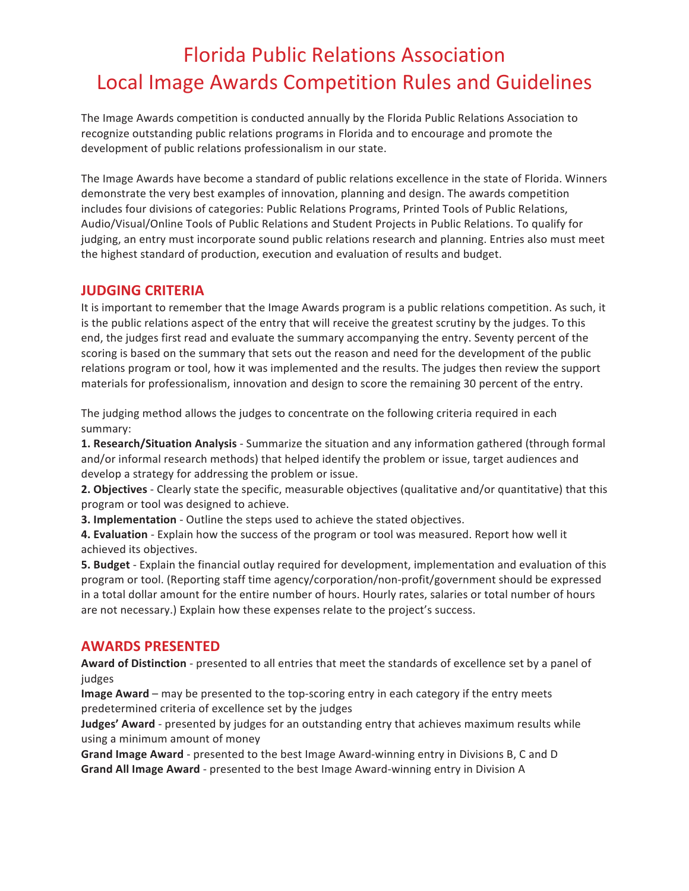The Image Awards competition is conducted annually by the Florida Public Relations Association to recognize outstanding public relations programs in Florida and to encourage and promote the development of public relations professionalism in our state.

The Image Awards have become a standard of public relations excellence in the state of Florida. Winners demonstrate the very best examples of innovation, planning and design. The awards competition includes four divisions of categories: Public Relations Programs, Printed Tools of Public Relations, Audio/Visual/Online Tools of Public Relations and Student Projects in Public Relations. To qualify for judging, an entry must incorporate sound public relations research and planning. Entries also must meet the highest standard of production, execution and evaluation of results and budget.

#### **JUDGING CRITERIA**

It is important to remember that the Image Awards program is a public relations competition. As such, it is the public relations aspect of the entry that will receive the greatest scrutiny by the judges. To this end, the judges first read and evaluate the summary accompanying the entry. Seventy percent of the scoring is based on the summary that sets out the reason and need for the development of the public relations program or tool, how it was implemented and the results. The judges then review the support materials for professionalism, innovation and design to score the remaining 30 percent of the entry.

The judging method allows the judges to concentrate on the following criteria required in each summary:

1. Research/Situation Analysis - Summarize the situation and any information gathered (through formal and/or informal research methods) that helped identify the problem or issue, target audiences and develop a strategy for addressing the problem or issue.

**2. Objectives** - Clearly state the specific, measurable objectives (qualitative and/or quantitative) that this program or tool was designed to achieve.

**3. Implementation** - Outline the steps used to achieve the stated objectives.

**4. Evaluation** - Explain how the success of the program or tool was measured. Report how well it achieved its objectives.

**5. Budget** - Explain the financial outlay required for development, implementation and evaluation of this program or tool. (Reporting staff time agency/corporation/non-profit/government should be expressed in a total dollar amount for the entire number of hours. Hourly rates, salaries or total number of hours are not necessary.) Explain how these expenses relate to the project's success.

#### **AWARDS PRESENTED**

Award of Distinction - presented to all entries that meet the standards of excellence set by a panel of judges

**Image Award** – may be presented to the top-scoring entry in each category if the entry meets predetermined criteria of excellence set by the judges

**Judges' Award** - presented by judges for an outstanding entry that achieves maximum results while using a minimum amount of money

**Grand Image Award** - presented to the best Image Award-winning entry in Divisions B, C and D **Grand All Image Award** - presented to the best Image Award-winning entry in Division A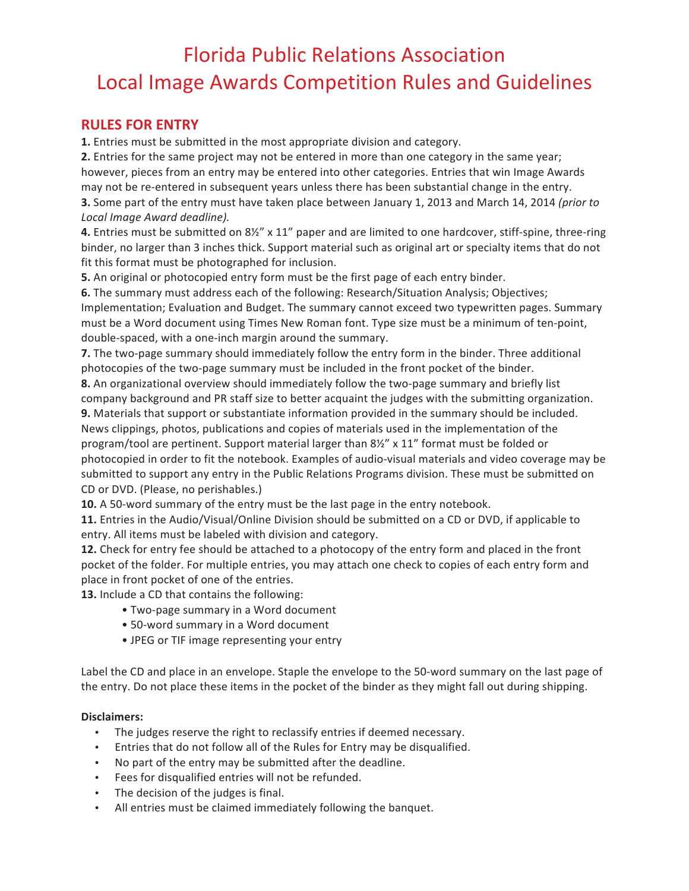#### **RULES FOR ENTRY**

**1.** Entries must be submitted in the most appropriate division and category.

**2.** Entries for the same project may not be entered in more than one category in the same year; however, pieces from an entry may be entered into other categories. Entries that win Image Awards may not be re-entered in subsequent years unless there has been substantial change in the entry. **3.** Some part of the entry must have taken place between January 1, 2013 and March 14, 2014 *(prior to Local Image Award deadline).*

**4.** Entries must be submitted on 8½" x 11" paper and are limited to one hardcover, stiff-spine, three-ring binder, no larger than 3 inches thick. Support material such as original art or specialty items that do not fit this format must be photographed for inclusion.

**5.** An original or photocopied entry form must be the first page of each entry binder.

**6.** The summary must address each of the following: Research/Situation Analysis; Objectives; Implementation; Evaluation and Budget. The summary cannot exceed two typewritten pages. Summary must be a Word document using Times New Roman font. Type size must be a minimum of ten-point, double-spaced, with a one-inch margin around the summary.

**7.** The two-page summary should immediately follow the entry form in the binder. Three additional photocopies of the two-page summary must be included in the front pocket of the binder.

**8.** An organizational overview should immediately follow the two-page summary and briefly list company background and PR staff size to better acquaint the judges with the submitting organization.

**9.** Materials that support or substantiate information provided in the summary should be included. News clippings, photos, publications and copies of materials used in the implementation of the program/tool are pertinent. Support material larger than 81/2" x 11" format must be folded or photocopied in order to fit the notebook. Examples of audio-visual materials and video coverage may be submitted to support any entry in the Public Relations Programs division. These must be submitted on CD or DVD. (Please, no perishables.)

**10.** A 50-word summary of the entry must be the last page in the entry notebook.

**11.** Entries in the Audio/Visual/Online Division should be submitted on a CD or DVD, if applicable to entry. All items must be labeled with division and category.

**12.** Check for entry fee should be attached to a photocopy of the entry form and placed in the front pocket of the folder. For multiple entries, you may attach one check to copies of each entry form and place in front pocket of one of the entries.

**13.** Include a CD that contains the following:

- Two-page summary in a Word document
- 50-word summary in a Word document
- JPEG or TIF image representing your entry

Label the CD and place in an envelope. Staple the envelope to the 50-word summary on the last page of the entry. Do not place these items in the pocket of the binder as they might fall out during shipping.

#### **Disclaimers:**

- The judges reserve the right to reclassify entries if deemed necessary.
- Entries that do not follow all of the Rules for Entry may be disqualified.
- No part of the entry may be submitted after the deadline.
- Fees for disqualified entries will not be refunded.
- The decision of the judges is final.
- All entries must be claimed immediately following the banquet.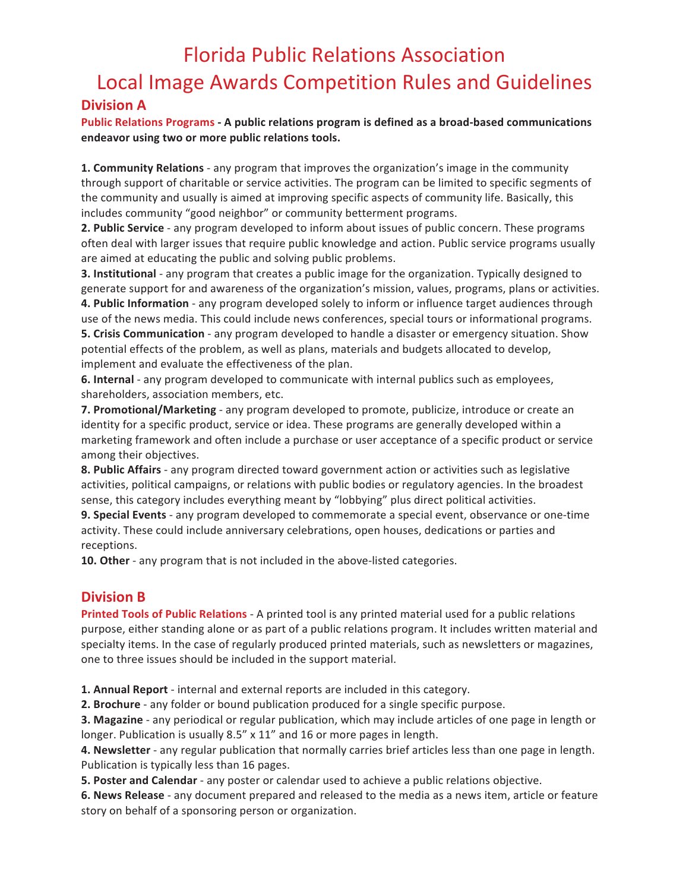#### **Division A**

Public Relations Programs - A public relations program is defined as a broad-based communications endeavor using two or more public relations tools.

**1. Community Relations** - any program that improves the organization's image in the community through support of charitable or service activities. The program can be limited to specific segments of the community and usually is aimed at improving specific aspects of community life. Basically, this includes community "good neighbor" or community betterment programs.

**2. Public Service** - any program developed to inform about issues of public concern. These programs often deal with larger issues that require public knowledge and action. Public service programs usually are aimed at educating the public and solving public problems.

**3.** Institutional - any program that creates a public image for the organization. Typically designed to generate support for and awareness of the organization's mission, values, programs, plans or activities.

**4. Public Information** - any program developed solely to inform or influence target audiences through use of the news media. This could include news conferences, special tours or informational programs. **5. Crisis Communication** - any program developed to handle a disaster or emergency situation. Show potential effects of the problem, as well as plans, materials and budgets allocated to develop, implement and evaluate the effectiveness of the plan.

**6.** Internal - any program developed to communicate with internal publics such as employees, shareholders, association members, etc.

**7. Promotional/Marketing** - any program developed to promote, publicize, introduce or create an identity for a specific product, service or idea. These programs are generally developed within a marketing framework and often include a purchase or user acceptance of a specific product or service among their objectives.

**8. Public Affairs** - any program directed toward government action or activities such as legislative activities, political campaigns, or relations with public bodies or regulatory agencies. In the broadest sense, this category includes everything meant by "lobbying" plus direct political activities.

**9. Special Events** - any program developed to commemorate a special event, observance or one-time activity. These could include anniversary celebrations, open houses, dedications or parties and receptions.

**10.** Other - any program that is not included in the above-listed categories.

## **Division B**

**Printed Tools of Public Relations** - A printed tool is any printed material used for a public relations purpose, either standing alone or as part of a public relations program. It includes written material and specialty items. In the case of regularly produced printed materials, such as newsletters or magazines, one to three issues should be included in the support material.

**1. Annual Report** - internal and external reports are included in this category.

**2.** Brochure - any folder or bound publication produced for a single specific purpose.

**3. Magazine** - any periodical or regular publication, which may include articles of one page in length or longer. Publication is usually 8.5" x 11" and 16 or more pages in length.

**4. Newsletter** - any regular publication that normally carries brief articles less than one page in length. Publication is typically less than 16 pages.

**5. Poster and Calendar** - any poster or calendar used to achieve a public relations objective.

**6. News Release** - any document prepared and released to the media as a news item, article or feature story on behalf of a sponsoring person or organization.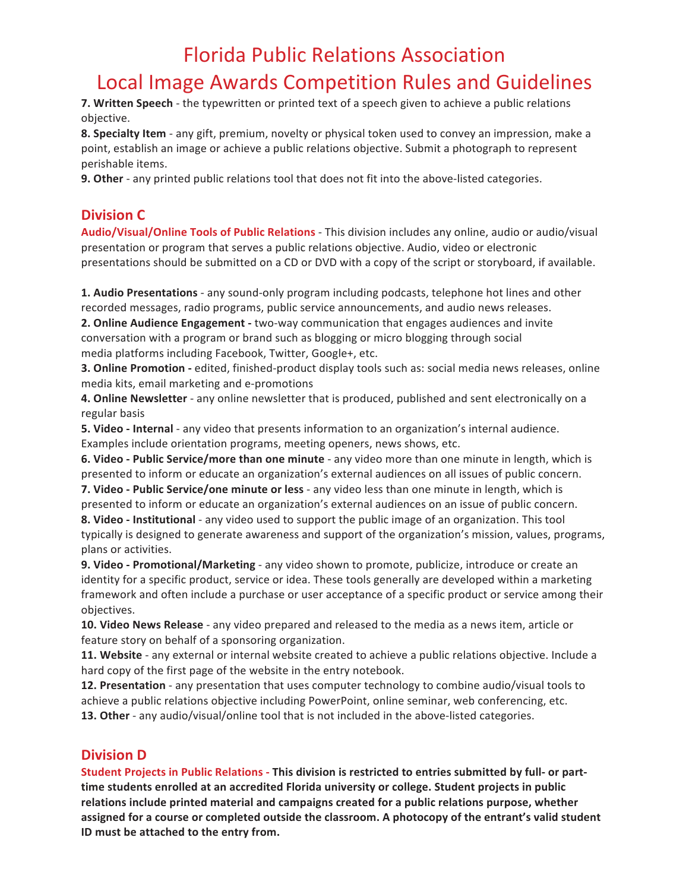**7. Written Speech** - the typewritten or printed text of a speech given to achieve a public relations objective.

**8.** Specialty Item - any gift, premium, novelty or physical token used to convey an impression, make a point, establish an image or achieve a public relations objective. Submit a photograph to represent perishable items.

**9. Other** - any printed public relations tool that does not fit into the above-listed categories.

## **Division C**

Audio/Visual/Online Tools of Public Relations - This division includes any online, audio or audio/visual presentation or program that serves a public relations objective. Audio, video or electronic presentations should be submitted on a CD or DVD with a copy of the script or storyboard, if available.

**1. Audio Presentations** - any sound-only program including podcasts, telephone hot lines and other recorded messages, radio programs, public service announcements, and audio news releases.

**2. Online Audience Engagement** - two-way communication that engages audiences and invite conversation with a program or brand such as blogging or micro blogging through social media platforms including Facebook, Twitter, Google+, etc.

**3. Online Promotion** - edited, finished-product display tools such as: social media news releases, online media kits, email marketing and e-promotions

4. Online Newsletter - any online newsletter that is produced, published and sent electronically on a regular basis

**5.** Video - Internal - any video that presents information to an organization's internal audience. Examples include orientation programs, meeting openers, news shows, etc.

**6.** Video - Public Service/more than one minute - any video more than one minute in length, which is presented to inform or educate an organization's external audiences on all issues of public concern.

**7.** Video - Public Service/one minute or less - any video less than one minute in length, which is presented to inform or educate an organization's external audiences on an issue of public concern. **8.** Video - Institutional - any video used to support the public image of an organization. This tool

typically is designed to generate awareness and support of the organization's mission, values, programs, plans or activities.

**9. Video - Promotional/Marketing** - any video shown to promote, publicize, introduce or create an identity for a specific product, service or idea. These tools generally are developed within a marketing framework and often include a purchase or user acceptance of a specific product or service among their objectives.

**10. Video News Release** - any video prepared and released to the media as a news item, article or feature story on behalf of a sponsoring organization.

**11.** Website - any external or internal website created to achieve a public relations objective. Include a hard copy of the first page of the website in the entry notebook.

**12. Presentation** - any presentation that uses computer technology to combine audio/visual tools to achieve a public relations objective including PowerPoint, online seminar, web conferencing, etc. **13. Other** - any audio/visual/online tool that is not included in the above-listed categories.

## **Division D**

**Student Projects in Public Relations - This division is restricted to entries submitted by full- or part**time students enrolled at an accredited Florida university or college. Student projects in public relations include printed material and campaigns created for a public relations purpose, whether assigned for a course or completed outside the classroom. A photocopy of the entrant's valid student **ID** must be attached to the entry from.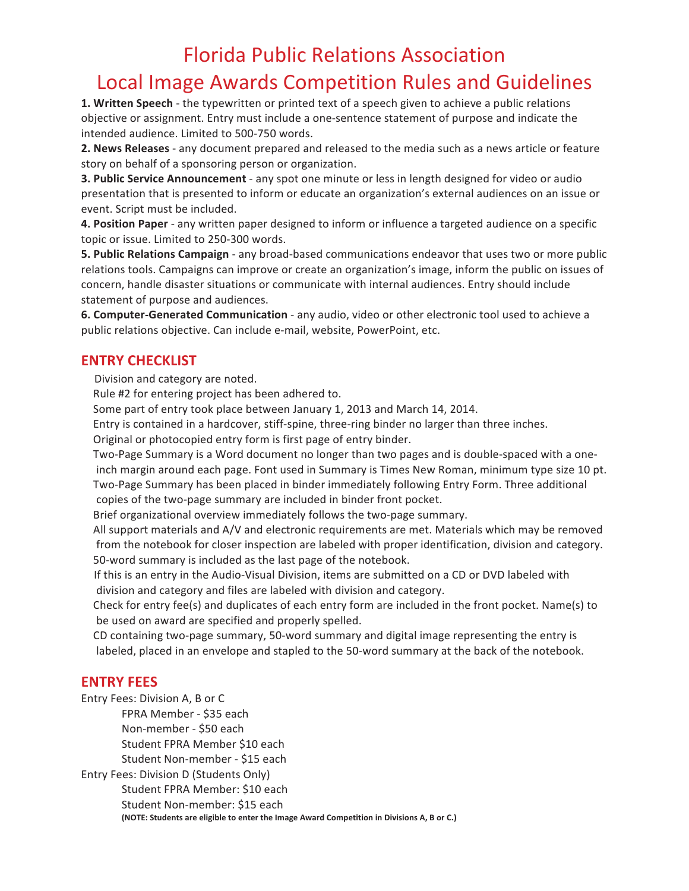# Florida Public Relations Association

## Local Image Awards Competition Rules and Guidelines

**1. Written Speech** - the typewritten or printed text of a speech given to achieve a public relations objective or assignment. Entry must include a one-sentence statement of purpose and indicate the intended audience. Limited to 500-750 words.

**2. News Releases** - any document prepared and released to the media such as a news article or feature story on behalf of a sponsoring person or organization.

**3. Public Service Announcement** - any spot one minute or less in length designed for video or audio presentation that is presented to inform or educate an organization's external audiences on an issue or event. Script must be included.

**4. Position Paper** - any written paper designed to inform or influence a targeted audience on a specific topic or issue. Limited to 250-300 words.

**5. Public Relations Campaign** - any broad-based communications endeavor that uses two or more public relations tools. Campaigns can improve or create an organization's image, inform the public on issues of concern, handle disaster situations or communicate with internal audiences. Entry should include statement of purpose and audiences.

6. Computer-Generated Communication - any audio, video or other electronic tool used to achieve a public relations objective. Can include e-mail, website, PowerPoint, etc.

#### **ENTRY CHECKLIST**

Division and category are noted.

Rule #2 for entering project has been adhered to.

Some part of entry took place between January 1, 2013 and March 14, 2014.

Entry is contained in a hardcover, stiff-spine, three-ring binder no larger than three inches.

Original or photocopied entry form is first page of entry binder.

Two-Page Summary is a Word document no longer than two pages and is double-spaced with a oneinch margin around each page. Font used in Summary is Times New Roman, minimum type size 10 pt. Two-Page Summary has been placed in binder immediately following Entry Form. Three additional

copies of the two-page summary are included in binder front pocket.

Brief organizational overview immediately follows the two-page summary.

All support materials and A/V and electronic requirements are met. Materials which may be removed from the notebook for closer inspection are labeled with proper identification, division and category. 50-word summary is included as the last page of the notebook.

If this is an entry in the Audio-Visual Division, items are submitted on a CD or DVD labeled with division and category and files are labeled with division and category.

Check for entry fee(s) and duplicates of each entry form are included in the front pocket. Name(s) to be used on award are specified and properly spelled.

CD containing two-page summary, 50-word summary and digital image representing the entry is labeled, placed in an envelope and stapled to the 50-word summary at the back of the notebook.

#### **ENTRY FEES**

Entry Fees: Division A, B or C

FPRA Member - \$35 each

Non-member - \$50 each

Student FPRA Member \$10 each

Student Non-member - \$15 each

Entry Fees: Division D (Students Only)

Student FPRA Member: \$10 each Student Non-member: \$15 each **(NOTE: Students are eligible to enter the Image Award Competition in Divisions A, B or C.)**